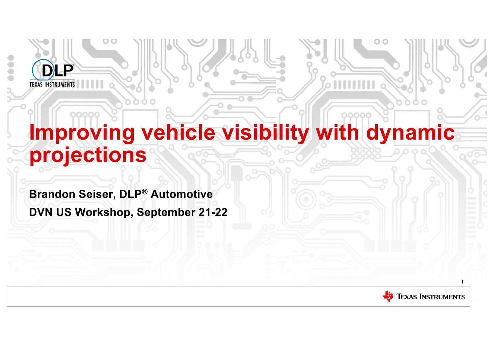# **Improving vehicle visibility with dynamic projections**

**Brandon Seiser, DLP® Automotive DVN US Workshop, September 21-22**

 $\mathbf{D}$ 

**TEXAS INSTRUMENTS** 

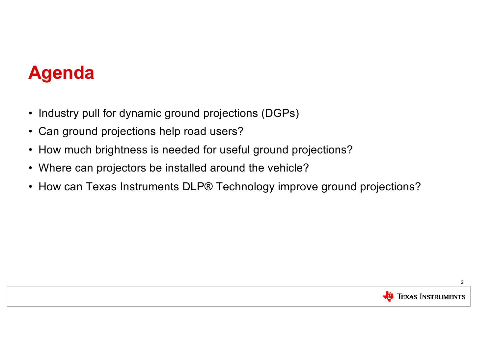# **Agenda**

- Industry pull for dynamic ground projections (DGPs)
- Can ground projections help road users?
- How much brightness is needed for useful ground projections?
- Where can projectors be installed around the vehicle?
- How can Texas Instruments DLP® Technology improve ground projections?

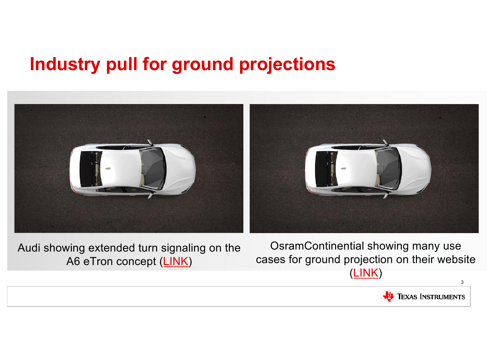# **Industry pull for ground projections**



Audi showing extended turn signaling on the A6 eTron concept [\(LINK](https://www.youtube.com/watch?v=JR1zYuUhxeQ))

OsramContinential showing many use cases for ground projection on their website [\(LINK](https://www.osram-continental.com/solutions/projection-solutions))

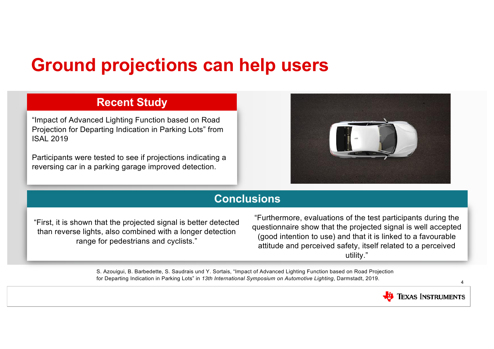### **Ground projections can help users**

### **Recent Study**

"Impact of Advanced Lighting Function based on Road Projection for Departing Indication in Parking Lots" from ISAL 2019

Participants were tested to see if projections indicating a reversing car in a parking garage improved detection.



### **Conclusions**

"First, it is shown that the projected signal is better detected than reverse lights, also combined with a longer detection range for pedestrians and cyclists."

"Furthermore, evaluations of the test participants during the questionnaire show that the projected signal is well accepted (good intention to use) and that it is linked to a favourable attitude and perceived safety, itself related to a perceived utility."

S. Azouigui, B. Barbedette, S. Saudrais und Y. Sortais, "Impact of Advanced Lighting Function based on Road Projection for Departing Indication in Parking Lots" in *13th International Symposium on Automotive Lighting*, Darmstadt, 2019.

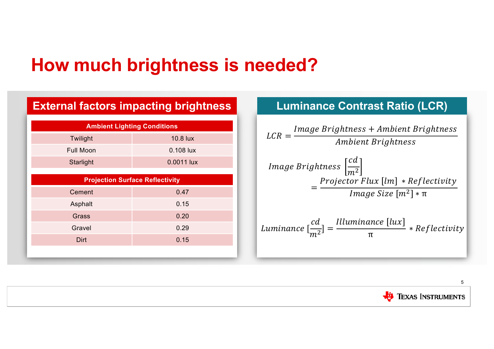### **How much brightness is needed?**

| <b>External factors impacting brightness</b> |            |  |
|----------------------------------------------|------------|--|
| <b>Ambient Lighting Conditions</b>           |            |  |
| Twilight                                     | 10.8 lux   |  |
| <b>Full Moon</b>                             | 0.108 lux  |  |
| Starlight                                    | 0.0011 lux |  |
| <b>Projection Surface Reflectivity</b>       |            |  |
| Cement                                       | 0.47       |  |
| Asphalt                                      | 0.15       |  |
| Grass                                        | 0.20       |  |
| Gravel                                       | 0.29       |  |
| Dirt                                         | 0.15       |  |
|                                              |            |  |

### **Luminance Contrast Ratio (LCR)**



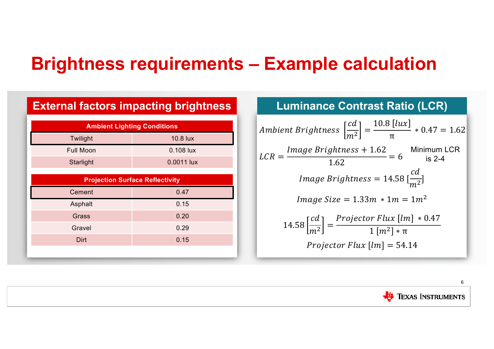### **Brightness requirements – Example calculation**

| <b>External factors impacting brightness</b> |            |  |
|----------------------------------------------|------------|--|
| <b>Ambient Lighting Conditions</b>           |            |  |
| Twilight                                     | 10.8 lux   |  |
| <b>Full Moon</b>                             | 0.108 lux  |  |
| Starlight                                    | 0.0011 lux |  |
| <b>Projection Surface Reflectivity</b>       |            |  |
| Cement                                       | 0.47       |  |
| Asphalt                                      | 0.15       |  |
| Grass                                        | 0.20       |  |
| Gravel                                       | 0.29       |  |
| Dirt                                         | 0.15       |  |
|                                              |            |  |

#### **Luminance Contrast Ratio (LCR)**  $LCR = \frac{Image~Brightness + 1.62}{1.62}$  $\frac{1.62}{1.62}$  = 6 14.58  $\left[\frac{cd}{m^2}\right]=\frac{Projector\ Flux\ [lm]\ *0.47}{1\ [m^2]*\pi}$ Ambient Brightness  $\left[\frac{cd}{m^2}\right] = \frac{10.8 \left[lux}{\pi}\right]$  $* 0.47 = 1.62$  $Image~Brightness = 14.58$  $cd$  $\frac{1}{m^2}$ ] Projector Flux  $[lm] = 54.14$ Minimum LCR is 2-4 *Image Size* =  $1.33m * 1m = 1m^2$

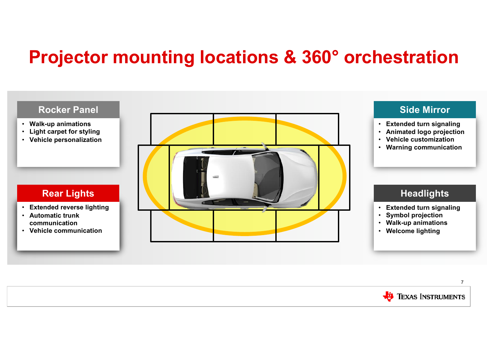### **Projector mounting locations & 360° orchestration**



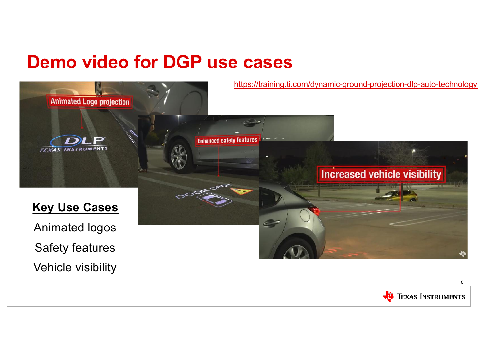### **Demo video for DGP use cases**